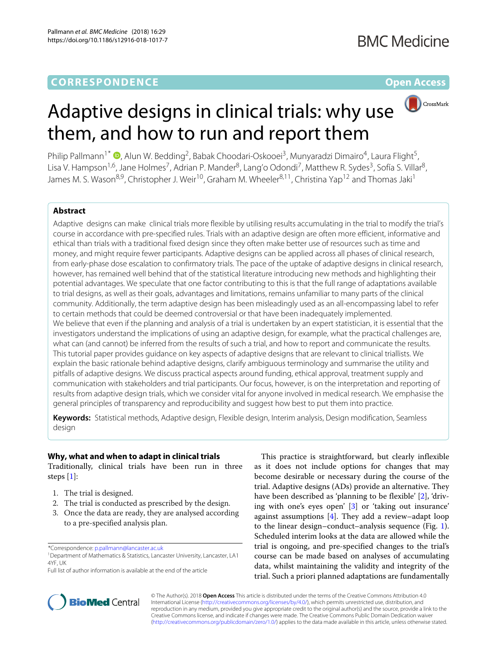# **CORRESPONDENCE CORRESPONDENCE Open Access**



# Adaptive designs in clinical trials: why use them, and how to run and report them

Philip Pallmann<sup>1\*</sup> <sup>(D</sup>[,](http://orcid.org/0000-0001-8274-9696) Alun W. Bedding<sup>2</sup>, Babak Choodari-Oskooei<sup>3</sup>, Munyaradzi Dimairo<sup>4</sup>, Laura Flight<sup>5</sup>, Lisa V. Hampson<sup>1,6</sup>, Jane Holmes<sup>7</sup>, Adrian P. Mander<sup>8</sup>, Lang'o Odondi<sup>7</sup>, Matthew R. Sydes<sup>3</sup>, Sofía S. Villar<sup>8</sup>, James M. S. Wason<sup>8,9</sup>, Christopher J. Weir<sup>10</sup>, Graham M. Wheeler<sup>8,11</sup>, Christina Yap<sup>12</sup> and Thomas Jaki<sup>1</sup>

# **Abstract**

Adaptive designs can make clinical trials more flexible by utilising results accumulating in the trial to modify the trial's course in accordance with pre-specified rules. Trials with an adaptive design are often more efficient, informative and ethical than trials with a traditional fixed design since they often make better use of resources such as time and money, and might require fewer participants. Adaptive designs can be applied across all phases of clinical research, from early-phase dose escalation to confirmatory trials. The pace of the uptake of adaptive designs in clinical research, however, has remained well behind that of the statistical literature introducing new methods and highlighting their potential advantages. We speculate that one factor contributing to this is that the full range of adaptations available to trial designs, as well as their goals, advantages and limitations, remains unfamiliar to many parts of the clinical community. Additionally, the term adaptive design has been misleadingly used as an all-encompassing label to refer to certain methods that could be deemed controversial or that have been inadequately implemented. We believe that even if the planning and analysis of a trial is undertaken by an expert statistician, it is essential that the investigators understand the implications of using an adaptive design, for example, what the practical challenges are, what can (and cannot) be inferred from the results of such a trial, and how to report and communicate the results. This tutorial paper provides guidance on key aspects of adaptive designs that are relevant to clinical triallists. We explain the basic rationale behind adaptive designs, clarify ambiguous terminology and summarise the utility and pitfalls of adaptive designs. We discuss practical aspects around funding, ethical approval, treatment supply and communication with stakeholders and trial participants. Our focus, however, is on the interpretation and reporting of results from adaptive design trials, which we consider vital for anyone involved in medical research. We emphasise the general principles of transparency and reproducibility and suggest how best to put them into practice.

**Keywords:** Statistical methods, Adaptive design, Flexible design, Interim analysis, Design modification, Seamless design

# **Why, what and when to adapt in clinical trials**

Traditionally, clinical trials have been run in three steps [\[1\]](#page-11-0):

- 1. The trial is designed.
- 2. The trial is conducted as prescribed by the design.
- 3. Once the data are ready, they are analysed according to a pre-specified analysis plan.

This practice is straightforward, but clearly inflexible as it does not include options for changes that may become desirable or necessary during the course of the trial. Adaptive designs (ADs) provide an alternative. They have been described as 'planning to be flexible' [\[2\]](#page-11-1), 'driving with one's eyes open' [\[3\]](#page-11-2) or 'taking out insurance' against assumptions  $[4]$ . They add a review–adapt loop to the linear design–conduct–analysis sequence (Fig. [1\)](#page-1-0). Scheduled interim looks at the data are allowed while the trial is ongoing, and pre-specified changes to the trial's course can be made based on analyses of accumulating data, whilst maintaining the validity and integrity of the trial. Such a priori planned adaptations are fundamentally



© The Author(s). 2018 **Open Access** This article is distributed under the terms of the Creative Commons Attribution 4.0 International License [\(http://creativecommons.org/licenses/by/4.0/\)](http://creativecommons.org/licenses/by/4.0/), which permits unrestricted use, distribution, and reproduction in any medium, provided you give appropriate credit to the original author(s) and the source, provide a link to the Creative Commons license, and indicate if changes were made. The Creative Commons Public Domain Dedication waiver [\(http://creativecommons.org/publicdomain/zero/1.0/\)](http://creativecommons.org/publicdomain/zero/1.0/) applies to the data made available in this article, unless otherwise stated.

<sup>\*</sup>Correspondence: [p.pallmann@lancaster.ac.uk](mailto: p.pallmann@lancaster.ac.uk)

<sup>&</sup>lt;sup>1</sup> Department of Mathematics & Statistics, Lancaster University, Lancaster, LA1 4YF LIK

Full list of author information is available at the end of the article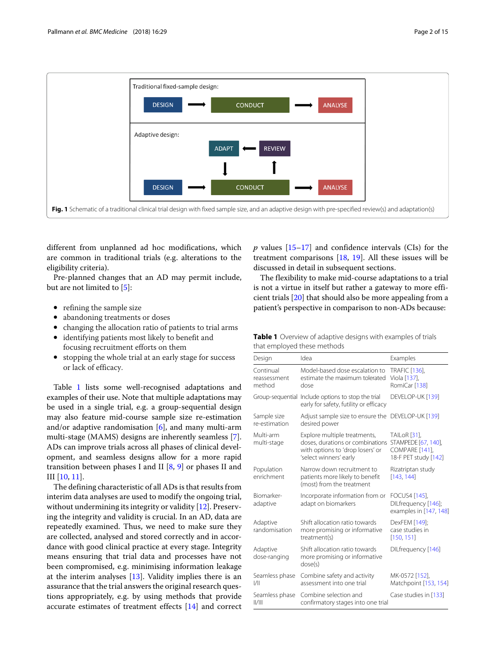

<span id="page-1-0"></span>different from unplanned ad hoc modifications, which are common in traditional trials (e.g. alterations to the eligibility criteria).

Pre-planned changes that an AD may permit include, but are not limited to [\[5\]](#page-11-4):

- refining the sample size
- abandoning treatments or doses
- changing the allocation ratio of patients to trial arms
- identifying patients most likely to benefit and focusing recruitment efforts on them
- stopping the whole trial at an early stage for success or lack of efficacy.

Table [1](#page-1-1) lists some well-recognised adaptations and examples of their use. Note that multiple adaptations may be used in a single trial, e.g. a group-sequential design may also feature mid-course sample size re-estimation and/or adaptive randomisation [\[6\]](#page-11-5), and many multi-arm multi-stage (MAMS) designs are inherently seamless [\[7\]](#page-11-6). ADs can improve trials across all phases of clinical development, and seamless designs allow for a more rapid transition between phases I and II  $[8, 9]$  $[8, 9]$  $[8, 9]$  or phases II and III [\[10,](#page-11-9) [11\]](#page-11-10).

The defining characteristic of all ADs is that results from interim data analyses are used to modify the ongoing trial, without undermining its integrity or validity [\[12\]](#page-11-11). Preserving the integrity and validity is crucial. In an AD, data are repeatedly examined. Thus, we need to make sure they are collected, analysed and stored correctly and in accordance with good clinical practice at every stage. Integrity means ensuring that trial data and processes have not been compromised, e.g. minimising information leakage at the interim analyses [\[13\]](#page-11-12). Validity implies there is an assurance that the trial answers the original research questions appropriately, e.g. by using methods that provide accurate estimates of treatment effects [\[14\]](#page-11-13) and correct *p* values [\[15–](#page-11-14)[17\]](#page-11-15) and confidence intervals (CIs) for the treatment comparisons [\[18,](#page-11-16) [19\]](#page-11-17). All these issues will be discussed in detail in subsequent sections.

The flexibility to make mid-course adaptations to a trial is not a virtue in itself but rather a gateway to more efficient trials [\[20\]](#page-11-18) that should also be more appealing from a patient's perspective in comparison to non-ADs because:

<span id="page-1-1"></span>

| <b>Table 1</b> Overview of adaptive designs with examples of trials |  |  |
|---------------------------------------------------------------------|--|--|
| that employed these methods                                         |  |  |

| Design                              | Idea                                                                                                                           | Examples                                                                             |
|-------------------------------------|--------------------------------------------------------------------------------------------------------------------------------|--------------------------------------------------------------------------------------|
| Continual<br>reassessment<br>method | Model-based dose escalation to<br>estimate the maximum tolerated<br>dose                                                       | <b>TRAFIC [136],</b><br>Viola [137],<br>RomiCar <sup>[138]</sup>                     |
|                                     | Group-sequential Include options to stop the trial<br>early for safety, futility or efficacy                                   | DEVELOP-UK [139]                                                                     |
| Sample size<br>re-estimation        | Adjust sample size to ensure the<br>desired power                                                                              | DEVELOP-UK [139]                                                                     |
| Multi-arm<br>multi-stage            | Explore multiple treatments,<br>doses, durations or combinations<br>with options to 'drop losers' or<br>'select winners' early | <b>TAILOR</b> [31],<br>STAMPEDE [67, 140],<br>COMPARE [141],<br>18-F PET study [142] |
| Population<br>enrichment            | Narrow down recruitment to<br>patients more likely to benefit<br>(most) from the treatment                                     | Rizatriptan study<br>[143, 144]                                                      |
| Biomarker-<br>adaptive              | Incorporate information from or<br>adapt on biomarkers                                                                         | FOCUS4 [145],<br>DILfrequency [146];<br>examples in [147, 148]                       |
| Adaptive<br>randomisation           | Shift allocation ratio towards<br>more promising or informative<br>treatment(s)                                                | DexFEM [149];<br>case studies in<br>[150, 151]                                       |
| Adaptive<br>dose-ranging            | Shift allocation ratio towards<br>more promising or informative<br>dose(s)                                                     | DILfrequency [146]                                                                   |
| Seamless phase<br>1/                | Combine safety and activity<br>assessment into one trial                                                                       | MK-0572 [152],<br>Matchpoint [153, 154]                                              |
| Seamless phase<br>  /               | Combine selection and<br>confirmatory stages into one trial                                                                    | Case studies in [133]                                                                |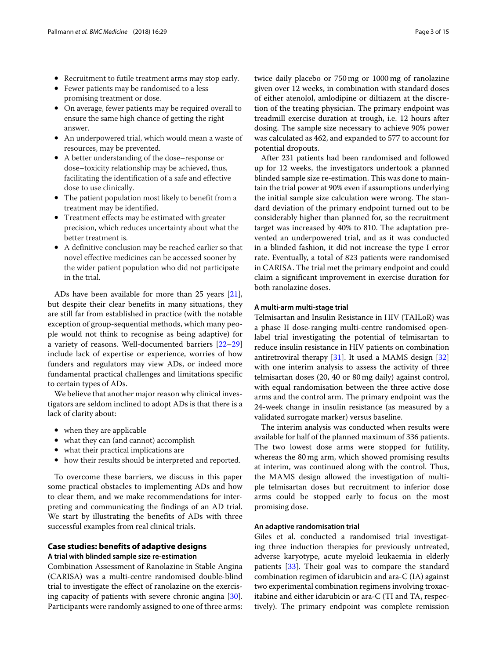- Recruitment to futile treatment arms may stop early.
- Fewer patients may be randomised to a less promising treatment or dose.
- On average, fewer patients may be required overall to ensure the same high chance of getting the right answer.
- An underpowered trial, which would mean a waste of resources, may be prevented.
- A better understanding of the dose–response or dose–toxicity relationship may be achieved, thus, facilitating the identification of a safe and effective dose to use clinically.
- The patient population most likely to benefit from a treatment may be identified.
- Treatment effects may be estimated with greater precision, which reduces uncertainty about what the better treatment is.
- A definitive conclusion may be reached earlier so that novel effective medicines can be accessed sooner by the wider patient population who did not participate in the trial.

ADs have been available for more than 25 years [\[21\]](#page-11-20), but despite their clear benefits in many situations, they are still far from established in practice (with the notable exception of group-sequential methods, which many people would not think to recognise as being adaptive) for a variety of reasons. Well-documented barriers [\[22](#page-11-21)[–29\]](#page-11-22) include lack of expertise or experience, worries of how funders and regulators may view ADs, or indeed more fundamental practical challenges and limitations specific to certain types of ADs.

We believe that another major reason why clinical investigators are seldom inclined to adopt ADs is that there is a lack of clarity about:

- when they are applicable
- what they can (and cannot) accomplish
- what their practical implications are
- how their results should be interpreted and reported.

To overcome these barriers, we discuss in this paper some practical obstacles to implementing ADs and how to clear them, and we make recommendations for interpreting and communicating the findings of an AD trial. We start by illustrating the benefits of ADs with three successful examples from real clinical trials.

# **Case studies: benefits of adaptive designs**

# **A trial with blinded sample size re-estimation**

Combination Assessment of Ranolazine in Stable Angina (CARISA) was a multi-centre randomised double-blind trial to investigate the effect of ranolazine on the exercising capacity of patients with severe chronic angina [\[30\]](#page-11-23). Participants were randomly assigned to one of three arms: twice daily placebo or 750 mg or 1000 mg of ranolazine given over 12 weeks, in combination with standard doses of either atenolol, amlodipine or diltiazem at the discretion of the treating physician. The primary endpoint was treadmill exercise duration at trough, i.e. 12 hours after dosing. The sample size necessary to achieve 90% power was calculated as 462, and expanded to 577 to account for potential dropouts.

After 231 patients had been randomised and followed up for 12 weeks, the investigators undertook a planned blinded sample size re-estimation. This was done to maintain the trial power at 90% even if assumptions underlying the initial sample size calculation were wrong. The standard deviation of the primary endpoint turned out to be considerably higher than planned for, so the recruitment target was increased by 40% to 810. The adaptation prevented an underpowered trial, and as it was conducted in a blinded fashion, it did not increase the type I error rate. Eventually, a total of 823 patients were randomised in CARISA. The trial met the primary endpoint and could claim a significant improvement in exercise duration for both ranolazine doses.

#### **A multi-arm multi-stage trial**

Telmisartan and Insulin Resistance in HIV (TAILoR) was a phase II dose-ranging multi-centre randomised openlabel trial investigating the potential of telmisartan to reduce insulin resistance in HIV patients on combination antiretroviral therapy [\[31\]](#page-11-19). It used a MAMS design [\[32\]](#page-11-24) with one interim analysis to assess the activity of three telmisartan doses (20, 40 or 80 mg daily) against control, with equal randomisation between the three active dose arms and the control arm. The primary endpoint was the 24-week change in insulin resistance (as measured by a validated surrogate marker) versus baseline.

The interim analysis was conducted when results were available for half of the planned maximum of 336 patients. The two lowest dose arms were stopped for futility, whereas the 80 mg arm, which showed promising results at interim, was continued along with the control. Thus, the MAMS design allowed the investigation of multiple telmisartan doses but recruitment to inferior dose arms could be stopped early to focus on the most promising dose.

#### **An adaptive randomisation trial**

Giles et al. conducted a randomised trial investigating three induction therapies for previously untreated, adverse karyotype, acute myeloid leukaemia in elderly patients [\[33\]](#page-11-25). Their goal was to compare the standard combination regimen of idarubicin and ara-C (IA) against two experimental combination regimens involving troxacitabine and either idarubicin or ara-C (TI and TA, respectively). The primary endpoint was complete remission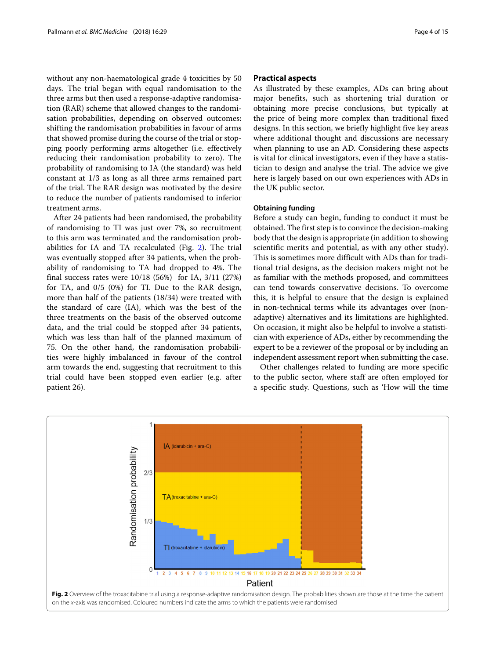without any non-haematological grade 4 toxicities by 50 days. The trial began with equal randomisation to the three arms but then used a response-adaptive randomisation (RAR) scheme that allowed changes to the randomisation probabilities, depending on observed outcomes: shifting the randomisation probabilities in favour of arms that showed promise during the course of the trial or stopping poorly performing arms altogether (i.e. effectively reducing their randomisation probability to zero). The probability of randomising to IA (the standard) was held constant at 1/3 as long as all three arms remained part of the trial. The RAR design was motivated by the desire to reduce the number of patients randomised to inferior treatment arms.

After 24 patients had been randomised, the probability of randomising to TI was just over 7%, so recruitment to this arm was terminated and the randomisation probabilities for IA and TA recalculated (Fig. [2\)](#page-3-0). The trial was eventually stopped after 34 patients, when the probability of randomising to TA had dropped to 4%. The final success rates were 10/18 (56%) for IA, 3/11 (27%) for TA, and 0/5 (0%) for TI. Due to the RAR design, more than half of the patients (18/34) were treated with the standard of care (IA), which was the best of the three treatments on the basis of the observed outcome data, and the trial could be stopped after 34 patients, which was less than half of the planned maximum of 75. On the other hand, the randomisation probabilities were highly imbalanced in favour of the control arm towards the end, suggesting that recruitment to this trial could have been stopped even earlier (e.g. after patient 26).

#### **Practical aspects**

As illustrated by these examples, ADs can bring about major benefits, such as shortening trial duration or obtaining more precise conclusions, but typically at the price of being more complex than traditional fixed designs. In this section, we briefly highlight five key areas where additional thought and discussions are necessary when planning to use an AD. Considering these aspects is vital for clinical investigators, even if they have a statistician to design and analyse the trial. The advice we give here is largely based on our own experiences with ADs in the UK public sector.

#### **Obtaining funding**

Before a study can begin, funding to conduct it must be obtained. The first step is to convince the decision-making body that the design is appropriate (in addition to showing scientific merits and potential, as with any other study). This is sometimes more difficult with ADs than for traditional trial designs, as the decision makers might not be as familiar with the methods proposed, and committees can tend towards conservative decisions. To overcome this, it is helpful to ensure that the design is explained in non-technical terms while its advantages over (nonadaptive) alternatives and its limitations are highlighted. On occasion, it might also be helpful to involve a statistician with experience of ADs, either by recommending the expert to be a reviewer of the proposal or by including an independent assessment report when submitting the case.

Other challenges related to funding are more specific to the public sector, where staff are often employed for a specific study. Questions, such as 'How will the time

<span id="page-3-0"></span>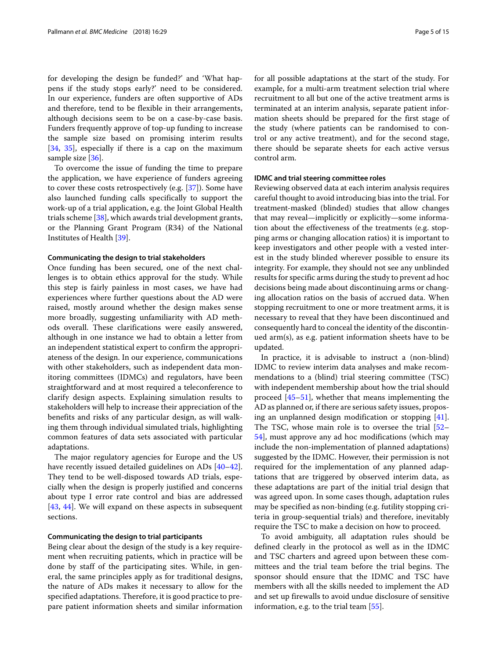for developing the design be funded?' and 'What happens if the study stops early?' need to be considered. In our experience, funders are often supportive of ADs and therefore, tend to be flexible in their arrangements, although decisions seem to be on a case-by-case basis. Funders frequently approve of top-up funding to increase the sample size based on promising interim results [\[34,](#page-11-26) [35\]](#page-11-27), especially if there is a cap on the maximum sample size [\[36\]](#page-12-1).

To overcome the issue of funding the time to prepare the application, we have experience of funders agreeing to cover these costs retrospectively (e.g. [\[37\]](#page-12-2)). Some have also launched funding calls specifically to support the work-up of a trial application, e.g. the Joint Global Health trials scheme [\[38\]](#page-12-3), which awards trial development grants, or the Planning Grant Program (R34) of the National Institutes of Health [\[39\]](#page-12-4).

#### **Communicating the design to trial stakeholders**

Once funding has been secured, one of the next challenges is to obtain ethics approval for the study. While this step is fairly painless in most cases, we have had experiences where further questions about the AD were raised, mostly around whether the design makes sense more broadly, suggesting unfamiliarity with AD methods overall. These clarifications were easily answered, although in one instance we had to obtain a letter from an independent statistical expert to confirm the appropriateness of the design. In our experience, communications with other stakeholders, such as independent data monitoring committees (IDMCs) and regulators, have been straightforward and at most required a teleconference to clarify design aspects. Explaining simulation results to stakeholders will help to increase their appreciation of the benefits and risks of any particular design, as will walking them through individual simulated trials, highlighting common features of data sets associated with particular adaptations.

The major regulatory agencies for Europe and the US have recently issued detailed guidelines on ADs [\[40–](#page-12-5)[42\]](#page-12-6). They tend to be well-disposed towards AD trials, especially when the design is properly justified and concerns about type I error rate control and bias are addressed [\[43,](#page-12-7) [44\]](#page-12-8). We will expand on these aspects in subsequent sections.

#### **Communicating the design to trial participants**

Being clear about the design of the study is a key requirement when recruiting patients, which in practice will be done by staff of the participating sites. While, in general, the same principles apply as for traditional designs, the nature of ADs makes it necessary to allow for the specified adaptations. Therefore, it is good practice to prepare patient information sheets and similar information for all possible adaptations at the start of the study. For example, for a multi-arm treatment selection trial where recruitment to all but one of the active treatment arms is terminated at an interim analysis, separate patient information sheets should be prepared for the first stage of the study (where patients can be randomised to control or any active treatment), and for the second stage, there should be separate sheets for each active versus control arm.

#### **IDMC and trial steering committee roles**

Reviewing observed data at each interim analysis requires careful thought to avoid introducing bias into the trial. For treatment-masked (blinded) studies that allow changes that may reveal—implicitly or explicitly—some information about the effectiveness of the treatments (e.g. stopping arms or changing allocation ratios) it is important to keep investigators and other people with a vested interest in the study blinded wherever possible to ensure its integrity. For example, they should not see any unblinded results for specific arms during the study to prevent ad hoc decisions being made about discontinuing arms or changing allocation ratios on the basis of accrued data. When stopping recruitment to one or more treatment arms, it is necessary to reveal that they have been discontinued and consequently hard to conceal the identity of the discontinued arm(s), as e.g. patient information sheets have to be updated.

In practice, it is advisable to instruct a (non-blind) IDMC to review interim data analyses and make recommendations to a (blind) trial steering committee (TSC) with independent membership about how the trial should proceed [\[45–](#page-12-9)[51\]](#page-12-10), whether that means implementing the AD as planned or, if there are serious safety issues, proposing an unplanned design modification or stopping [\[41\]](#page-12-11). The TSC, whose main role is to oversee the trial [\[52–](#page-12-12) [54\]](#page-12-13), must approve any ad hoc modifications (which may include the non-implementation of planned adaptations) suggested by the IDMC. However, their permission is not required for the implementation of any planned adaptations that are triggered by observed interim data, as these adaptations are part of the initial trial design that was agreed upon. In some cases though, adaptation rules may be specified as non-binding (e.g. futility stopping criteria in group-sequential trials) and therefore, inevitably require the TSC to make a decision on how to proceed.

To avoid ambiguity, all adaptation rules should be defined clearly in the protocol as well as in the IDMC and TSC charters and agreed upon between these committees and the trial team before the trial begins. The sponsor should ensure that the IDMC and TSC have members with all the skills needed to implement the AD and set up firewalls to avoid undue disclosure of sensitive information, e.g. to the trial team [\[55\]](#page-12-14).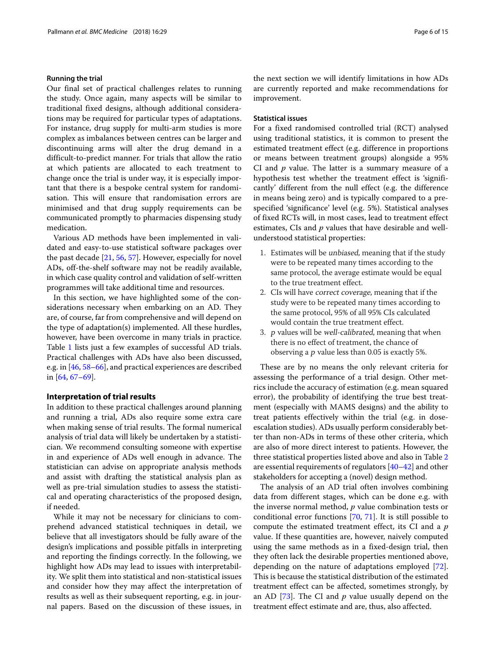#### **Running the trial**

Our final set of practical challenges relates to running the study. Once again, many aspects will be similar to traditional fixed designs, although additional considerations may be required for particular types of adaptations. For instance, drug supply for multi-arm studies is more complex as imbalances between centres can be larger and discontinuing arms will alter the drug demand in a difficult-to-predict manner. For trials that allow the ratio at which patients are allocated to each treatment to change once the trial is under way, it is especially important that there is a bespoke central system for randomisation. This will ensure that randomisation errors are minimised and that drug supply requirements can be communicated promptly to pharmacies dispensing study medication.

Various AD methods have been implemented in validated and easy-to-use statistical software packages over the past decade [\[21,](#page-11-20) [56,](#page-12-15) [57\]](#page-12-16). However, especially for novel ADs, off-the-shelf software may not be readily available, in which case quality control and validation of self-written programmes will take additional time and resources.

In this section, we have highlighted some of the considerations necessary when embarking on an AD. They are, of course, far from comprehensive and will depend on the type of adaptation(s) implemented. All these hurdles, however, have been overcome in many trials in practice. Table [1](#page-1-1) lists just a few examples of successful AD trials. Practical challenges with ADs have also been discussed, e.g. in [\[46,](#page-12-17) [58–](#page-12-18)[66\]](#page-12-19), and practical experiences are described in [\[64,](#page-12-20) [67–](#page-12-0)[69\]](#page-12-21).

#### **Interpretation of trial results**

In addition to these practical challenges around planning and running a trial, ADs also require some extra care when making sense of trial results. The formal numerical analysis of trial data will likely be undertaken by a statistician. We recommend consulting someone with expertise in and experience of ADs well enough in advance. The statistician can advise on appropriate analysis methods and assist with drafting the statistical analysis plan as well as pre-trial simulation studies to assess the statistical and operating characteristics of the proposed design, if needed.

While it may not be necessary for clinicians to comprehend advanced statistical techniques in detail, we believe that all investigators should be fully aware of the design's implications and possible pitfalls in interpreting and reporting the findings correctly. In the following, we highlight how ADs may lead to issues with interpretability. We split them into statistical and non-statistical issues and consider how they may affect the interpretation of results as well as their subsequent reporting, e.g. in journal papers. Based on the discussion of these issues, in

the next section we will identify limitations in how ADs are currently reported and make recommendations for improvement.

#### **Statistical issues**

For a fixed randomised controlled trial (RCT) analysed using traditional statistics, it is common to present the estimated treatment effect (e.g. difference in proportions or means between treatment groups) alongside a 95% CI and *p* value. The latter is a summary measure of a hypothesis test whether the treatment effect is 'significantly' different from the null effect (e.g. the difference in means being zero) and is typically compared to a prespecified 'significance' level (e.g. 5%). Statistical analyses of fixed RCTs will, in most cases, lead to treatment effect estimates, CIs and *p* values that have desirable and wellunderstood statistical properties:

- 1. Estimates will be unbiased, meaning that if the study were to be repeated many times according to the same protocol, the average estimate would be equal to the true treatment effect.
- 2. CIs will have correct coverage, meaning that if the study were to be repeated many times according to the same protocol, 95% of all 95% CIs calculated would contain the true treatment effect.
- 3. <sup>p</sup> values will be well-calibrated, meaning that when there is no effect of treatment, the chance of observing a <sup>p</sup> value less than 0.05 is exactly 5%.

These are by no means the only relevant criteria for assessing the performance of a trial design. Other metrics include the accuracy of estimation (e.g. mean squared error), the probability of identifying the true best treatment (especially with MAMS designs) and the ability to treat patients effectively within the trial (e.g. in doseescalation studies). ADs usually perform considerably better than non-ADs in terms of these other criteria, which are also of more direct interest to patients. However, the three statistical properties listed above and also in Table [2](#page-6-0) are essential requirements of regulators [\[40](#page-12-5)[–42\]](#page-12-6) and other stakeholders for accepting a (novel) design method.

The analysis of an AD trial often involves combining data from different stages, which can be done e.g. with the inverse normal method, *p* value combination tests or conditional error functions [\[70,](#page-12-22) [71\]](#page-12-23). It is still possible to compute the estimated treatment effect, its CI and a *p* value. If these quantities are, however, naively computed using the same methods as in a fixed-design trial, then they often lack the desirable properties mentioned above, depending on the nature of adaptations employed [\[72\]](#page-12-24). This is because the statistical distribution of the estimated treatment effect can be affected, sometimes strongly, by an AD [\[73\]](#page-12-25). The CI and *p* value usually depend on the treatment effect estimate and are, thus, also affected.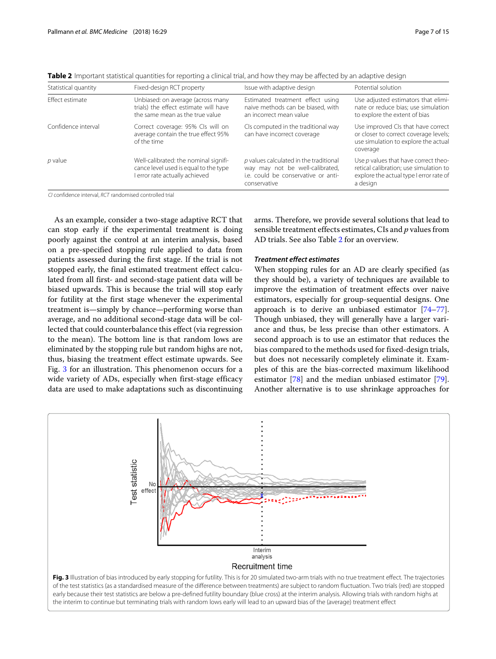<span id="page-6-0"></span>

| Statistical quantity   | Fixed-design RCT property                                                                                      | Issue with adaptive design                                                                                                         | Potential solution                                                                                                                    |
|------------------------|----------------------------------------------------------------------------------------------------------------|------------------------------------------------------------------------------------------------------------------------------------|---------------------------------------------------------------------------------------------------------------------------------------|
| <b>Effect estimate</b> | Unbiased: on average (across many<br>trials) the effect estimate will have<br>the same mean as the true value  | Estimated treatment effect using<br>naive methods can be biased, with<br>an incorrect mean value                                   | Use adjusted estimators that elimi-<br>nate or reduce bias; use simulation<br>to explore the extent of bias                           |
| Confidence interval    | Correct coverage: 95% Cls will on<br>average contain the true effect 95%<br>of the time                        | Cls computed in the traditional way<br>can have incorrect coverage                                                                 | Use improved CIs that have correct<br>or closer to correct coverage levels;<br>use simulation to explore the actual<br>coverage       |
| p value                | Well-calibrated: the nominal signifi-<br>cance level used is equal to the type<br>error rate actually achieved | $p$ values calculated in the traditional<br>way may not be well-calibrated,<br>i.e. could be conservative or anti-<br>conservative | Use p values that have correct theo-<br>retical calibration; use simulation to<br>explore the actual type I error rate of<br>a design |

**Table 2** Important statistical quantities for reporting a clinical trial, and how they may be affected by an adaptive design

CI confidence interval, RCT randomised controlled trial

As an example, consider a two-stage adaptive RCT that can stop early if the experimental treatment is doing poorly against the control at an interim analysis, based on a pre-specified stopping rule applied to data from patients assessed during the first stage. If the trial is not stopped early, the final estimated treatment effect calculated from all first- and second-stage patient data will be biased upwards. This is because the trial will stop early for futility at the first stage whenever the experimental treatment is—simply by chance—performing worse than average, and no additional second-stage data will be collected that could counterbalance this effect (via regression to the mean). The bottom line is that random lows are eliminated by the stopping rule but random highs are not, thus, biasing the treatment effect estimate upwards. See Fig. [3](#page-6-1) for an illustration. This phenomenon occurs for a wide variety of ADs, especially when first-stage efficacy data are used to make adaptations such as discontinuing arms. Therefore, we provide several solutions that lead to sensible treatment effects estimates, CIs and *p* values from AD trials. See also Table [2](#page-6-0) for an overview.

#### *Treatment effect estimates*

When stopping rules for an AD are clearly specified (as they should be), a variety of techniques are available to improve the estimation of treatment effects over naive estimators, especially for group-sequential designs. One approach is to derive an unbiased estimator [\[74](#page-12-26)[–77\]](#page-12-27). Though unbiased, they will generally have a larger variance and thus, be less precise than other estimators. A second approach is to use an estimator that reduces the bias compared to the methods used for fixed-design trials, but does not necessarily completely eliminate it. Examples of this are the bias-corrected maximum likelihood estimator [\[78\]](#page-12-28) and the median unbiased estimator [\[79\]](#page-12-29). Another alternative is to use shrinkage approaches for

<span id="page-6-1"></span>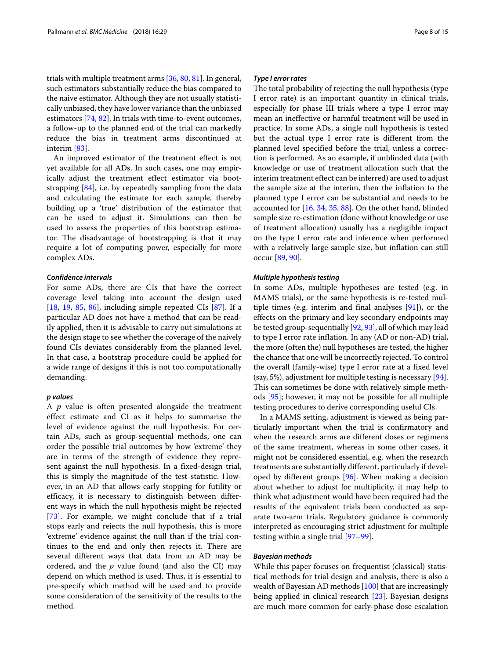trials with multiple treatment arms [\[36,](#page-12-1) [80,](#page-12-30) [81\]](#page-12-31). In general, such estimators substantially reduce the bias compared to the naive estimator. Although they are not usually statistically unbiased, they have lower variance than the unbiased estimators [\[74,](#page-12-26) [82\]](#page-12-32). In trials with time-to-event outcomes, a follow-up to the planned end of the trial can markedly reduce the bias in treatment arms discontinued at interim [\[83\]](#page-12-33).

An improved estimator of the treatment effect is not yet available for all ADs. In such cases, one may empirically adjust the treatment effect estimator via bootstrapping [\[84\]](#page-12-34), i.e. by repeatedly sampling from the data and calculating the estimate for each sample, thereby building up a 'true' distribution of the estimator that can be used to adjust it. Simulations can then be used to assess the properties of this bootstrap estimator. The disadvantage of bootstrapping is that it may require a lot of computing power, especially for more complex ADs.

#### *Confidence intervals*

For some ADs, there are CIs that have the correct coverage level taking into account the design used [\[18,](#page-11-16) [19,](#page-11-17) [85,](#page-12-35) [86\]](#page-12-36), including simple repeated CIs [\[87\]](#page-12-37). If a particular AD does not have a method that can be readily applied, then it is advisable to carry out simulations at the design stage to see whether the coverage of the naively found CIs deviates considerably from the planned level. In that case, a bootstrap procedure could be applied for a wide range of designs if this is not too computationally demanding.

#### *p values*

A *p* value is often presented alongside the treatment effect estimate and CI as it helps to summarise the level of evidence against the null hypothesis. For certain ADs, such as group-sequential methods, one can order the possible trial outcomes by how 'extreme' they are in terms of the strength of evidence they represent against the null hypothesis. In a fixed-design trial, this is simply the magnitude of the test statistic. However, in an AD that allows early stopping for futility or efficacy, it is necessary to distinguish between different ways in which the null hypothesis might be rejected [\[73\]](#page-12-25). For example, we might conclude that if a trial stops early and rejects the null hypothesis, this is more 'extreme' evidence against the null than if the trial continues to the end and only then rejects it. There are several different ways that data from an AD may be ordered, and the *p* value found (and also the CI) may depend on which method is used. Thus, it is essential to pre-specify which method will be used and to provide some consideration of the sensitivity of the results to the method.

#### *Type I error rates*

The total probability of rejecting the null hypothesis (type I error rate) is an important quantity in clinical trials, especially for phase III trials where a type I error may mean an ineffective or harmful treatment will be used in practice. In some ADs, a single null hypothesis is tested but the actual type I error rate is different from the planned level specified before the trial, unless a correction is performed. As an example, if unblinded data (with knowledge or use of treatment allocation such that the interim treatment effect can be inferred) are used to adjust the sample size at the interim, then the inflation to the planned type I error can be substantial and needs to be accounted for [\[16,](#page-11-28) [34,](#page-11-26) [35,](#page-11-27) [88\]](#page-13-6). On the other hand, blinded sample size re-estimation (done without knowledge or use of treatment allocation) usually has a negligible impact on the type I error rate and inference when performed with a relatively large sample size, but inflation can still occur [\[89,](#page-13-7) [90\]](#page-13-8).

#### *Multiple hypothesis testing*

In some ADs, multiple hypotheses are tested (e.g. in MAMS trials), or the same hypothesis is re-tested multiple times (e.g. interim and final analyses [\[91\]](#page-13-9)), or the effects on the primary and key secondary endpoints may be tested group-sequentially [\[92,](#page-13-10) [93\]](#page-13-11), all of which may lead to type I error rate inflation. In any (AD or non-AD) trial, the more (often the) null hypotheses are tested, the higher the chance that one will be incorrectly rejected. To control the overall (family-wise) type I error rate at a fixed level (say, 5%), adjustment for multiple testing is necessary [\[94\]](#page-13-12). This can sometimes be done with relatively simple methods [\[95\]](#page-13-13); however, it may not be possible for all multiple testing procedures to derive corresponding useful CIs.

In a MAMS setting, adjustment is viewed as being particularly important when the trial is confirmatory and when the research arms are different doses or regimens of the same treatment, whereas in some other cases, it might not be considered essential, e.g. when the research treatments are substantially different, particularly if developed by different groups [\[96\]](#page-13-14). When making a decision about whether to adjust for multiplicity, it may help to think what adjustment would have been required had the results of the equivalent trials been conducted as separate two-arm trials. Regulatory guidance is commonly interpreted as encouraging strict adjustment for multiple testing within a single trial [\[97](#page-13-15)[–99\]](#page-13-16).

#### *Bayesian methods*

While this paper focuses on frequentist (classical) statistical methods for trial design and analysis, there is also a wealth of Bayesian AD methods [\[100\]](#page-13-17) that are increasingly being applied in clinical research [\[23\]](#page-11-29). Bayesian designs are much more common for early-phase dose escalation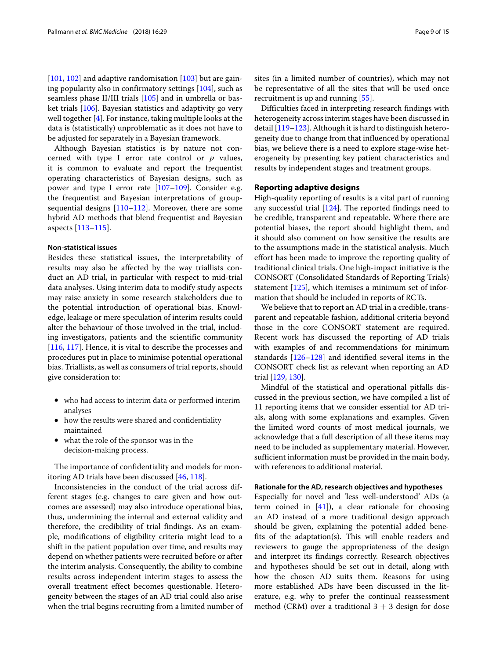[\[101,](#page-13-18) [102\]](#page-13-19) and adaptive randomisation  $[103]$  but are gaining popularity also in confirmatory settings [\[104\]](#page-13-21), such as seamless phase II/III trials [\[105\]](#page-13-22) and in umbrella or basket trials [\[106\]](#page-13-23). Bayesian statistics and adaptivity go very well together [\[4\]](#page-11-3). For instance, taking multiple looks at the data is (statistically) unproblematic as it does not have to be adjusted for separately in a Bayesian framework.

Although Bayesian statistics is by nature not concerned with type I error rate control or *p* values, it is common to evaluate and report the frequentist operating characteristics of Bayesian designs, such as power and type I error rate [\[107–](#page-13-24)[109\]](#page-13-25). Consider e.g. the frequentist and Bayesian interpretations of groupsequential designs  $[110-112]$  $[110-112]$ . Moreover, there are some hybrid AD methods that blend frequentist and Bayesian aspects [\[113](#page-13-28)[–115\]](#page-13-29).

#### **Non-statistical issues**

Besides these statistical issues, the interpretability of results may also be affected by the way triallists conduct an AD trial, in particular with respect to mid-trial data analyses. Using interim data to modify study aspects may raise anxiety in some research stakeholders due to the potential introduction of operational bias. Knowledge, leakage or mere speculation of interim results could alter the behaviour of those involved in the trial, including investigators, patients and the scientific community [\[116,](#page-13-30) [117\]](#page-13-31). Hence, it is vital to describe the processes and procedures put in place to minimise potential operational bias. Triallists, as well as consumers of trial reports, should give consideration to:

- who had access to interim data or performed interim analyses
- how the results were shared and confidentiality maintained
- what the role of the sponsor was in the decision-making process.

The importance of confidentiality and models for monitoring AD trials have been discussed [\[46,](#page-12-17) [118\]](#page-13-32).

Inconsistencies in the conduct of the trial across different stages (e.g. changes to care given and how outcomes are assessed) may also introduce operational bias, thus, undermining the internal and external validity and therefore, the credibility of trial findings. As an example, modifications of eligibility criteria might lead to a shift in the patient population over time, and results may depend on whether patients were recruited before or after the interim analysis. Consequently, the ability to combine results across independent interim stages to assess the overall treatment effect becomes questionable. Heterogeneity between the stages of an AD trial could also arise when the trial begins recruiting from a limited number of sites (in a limited number of countries), which may not be representative of all the sites that will be used once recruitment is up and running [\[55\]](#page-12-14).

Difficulties faced in interpreting research findings with heterogeneity across interim stages have been discussed in detail [\[119–](#page-13-33)[123\]](#page-13-34). Although it is hard to distinguish heterogeneity due to change from that influenced by operational bias, we believe there is a need to explore stage-wise heterogeneity by presenting key patient characteristics and results by independent stages and treatment groups.

#### **Reporting adaptive designs**

High-quality reporting of results is a vital part of running any successful trial  $[124]$ . The reported findings need to be credible, transparent and repeatable. Where there are potential biases, the report should highlight them, and it should also comment on how sensitive the results are to the assumptions made in the statistical analysis. Much effort has been made to improve the reporting quality of traditional clinical trials. One high-impact initiative is the CONSORT (Consolidated Standards of Reporting Trials) statement  $[125]$ , which itemises a minimum set of information that should be included in reports of RCTs.

We believe that to report an AD trial in a credible, transparent and repeatable fashion, additional criteria beyond those in the core CONSORT statement are required. Recent work has discussed the reporting of AD trials with examples of and recommendations for minimum standards [\[126](#page-13-37)[–128\]](#page-13-38) and identified several items in the CONSORT check list as relevant when reporting an AD trial [\[129,](#page-13-39) [130\]](#page-13-40).

Mindful of the statistical and operational pitfalls discussed in the previous section, we have compiled a list of 11 reporting items that we consider essential for AD trials, along with some explanations and examples. Given the limited word counts of most medical journals, we acknowledge that a full description of all these items may need to be included as supplementary material. However, sufficient information must be provided in the main body, with references to additional material.

#### **Rationale for the AD, research objectives and hypotheses**

Especially for novel and 'less well-understood' ADs (a term coined in  $[41]$ , a clear rationale for choosing an AD instead of a more traditional design approach should be given, explaining the potential added benefits of the adaptation(s). This will enable readers and reviewers to gauge the appropriateness of the design and interpret its findings correctly. Research objectives and hypotheses should be set out in detail, along with how the chosen AD suits them. Reasons for using more established ADs have been discussed in the literature, e.g. why to prefer the continual reassessment method (CRM) over a traditional  $3 + 3$  design for dose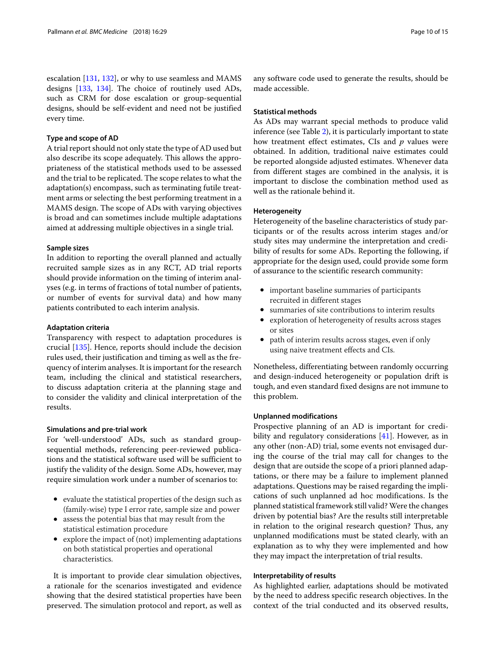escalation [\[131,](#page-13-41) [132\]](#page-13-42), or why to use seamless and MAMS designs [\[133,](#page-13-5) [134\]](#page-13-43). The choice of routinely used ADs, such as CRM for dose escalation or group-sequential designs, should be self-evident and need not be justified every time.

#### **Type and scope of AD**

A trial report should not only state the type of AD used but also describe its scope adequately. This allows the appropriateness of the statistical methods used to be assessed and the trial to be replicated. The scope relates to what the adaptation(s) encompass, such as terminating futile treatment arms or selecting the best performing treatment in a MAMS design. The scope of ADs with varying objectives is broad and can sometimes include multiple adaptations aimed at addressing multiple objectives in a single trial.

#### **Sample sizes**

In addition to reporting the overall planned and actually recruited sample sizes as in any RCT, AD trial reports should provide information on the timing of interim analyses (e.g. in terms of fractions of total number of patients, or number of events for survival data) and how many patients contributed to each interim analysis.

#### **Adaptation criteria**

Transparency with respect to adaptation procedures is crucial [\[135\]](#page-13-44). Hence, reports should include the decision rules used, their justification and timing as well as the frequency of interim analyses. It is important for the research team, including the clinical and statistical researchers, to discuss adaptation criteria at the planning stage and to consider the validity and clinical interpretation of the results.

#### **Simulations and pre-trial work**

For 'well-understood' ADs, such as standard groupsequential methods, referencing peer-reviewed publications and the statistical software used will be sufficient to justify the validity of the design. Some ADs, however, may require simulation work under a number of scenarios to:

- evaluate the statistical properties of the design such as (family-wise) type I error rate, sample size and power
- assess the potential bias that may result from the statistical estimation procedure
- explore the impact of (not) implementing adaptations on both statistical properties and operational characteristics.

It is important to provide clear simulation objectives, a rationale for the scenarios investigated and evidence showing that the desired statistical properties have been preserved. The simulation protocol and report, as well as any software code used to generate the results, should be made accessible.

#### **Statistical methods**

As ADs may warrant special methods to produce valid inference (see Table [2\)](#page-6-0), it is particularly important to state how treatment effect estimates, CIs and *p* values were obtained. In addition, traditional naive estimates could be reported alongside adjusted estimates. Whenever data from different stages are combined in the analysis, it is important to disclose the combination method used as well as the rationale behind it.

#### **Heterogeneity**

Heterogeneity of the baseline characteristics of study participants or of the results across interim stages and/or study sites may undermine the interpretation and credibility of results for some ADs. Reporting the following, if appropriate for the design used, could provide some form of assurance to the scientific research community:

- important baseline summaries of participants recruited in different stages
- summaries of site contributions to interim results
- exploration of heterogeneity of results across stages or sites
- path of interim results across stages, even if only using naive treatment effects and CIs.

Nonetheless, differentiating between randomly occurring and design-induced heterogeneity or population drift is tough, and even standard fixed designs are not immune to this problem.

#### **Unplanned modifications**

Prospective planning of an AD is important for credibility and regulatory considerations [\[41\]](#page-12-11). However, as in any other (non-AD) trial, some events not envisaged during the course of the trial may call for changes to the design that are outside the scope of a priori planned adaptations, or there may be a failure to implement planned adaptations. Questions may be raised regarding the implications of such unplanned ad hoc modifications. Is the planned statistical framework still valid? Were the changes driven by potential bias? Are the results still interpretable in relation to the original research question? Thus, any unplanned modifications must be stated clearly, with an explanation as to why they were implemented and how they may impact the interpretation of trial results.

### **Interpretability of results**

As highlighted earlier, adaptations should be motivated by the need to address specific research objectives. In the context of the trial conducted and its observed results,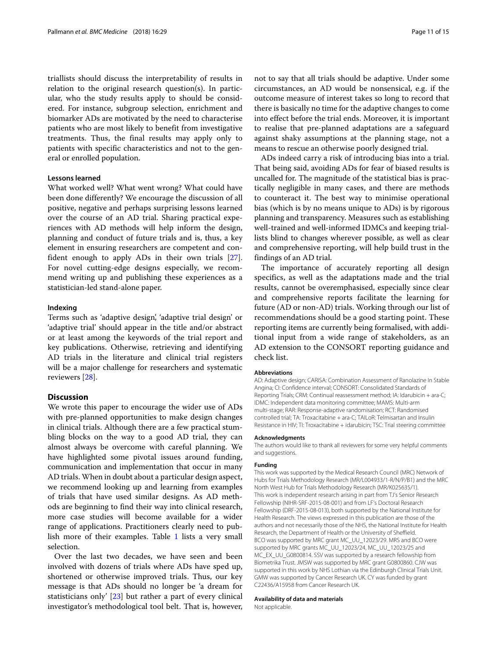triallists should discuss the interpretability of results in relation to the original research question(s). In particular, who the study results apply to should be considered. For instance, subgroup selection, enrichment and biomarker ADs are motivated by the need to characterise patients who are most likely to benefit from investigative treatments. Thus, the final results may apply only to patients with specific characteristics and not to the general or enrolled population.

#### **Lessons learned**

What worked well? What went wrong? What could have been done differently? We encourage the discussion of all positive, negative and perhaps surprising lessons learned over the course of an AD trial. Sharing practical experiences with AD methods will help inform the design, planning and conduct of future trials and is, thus, a key element in ensuring researchers are competent and confident enough to apply ADs in their own trials [\[27\]](#page-11-30). For novel cutting-edge designs especially, we recommend writing up and publishing these experiences as a statistician-led stand-alone paper.

#### **Indexing**

Terms such as 'adaptive design', 'adaptive trial design' or 'adaptive trial' should appear in the title and/or abstract or at least among the keywords of the trial report and key publications. Otherwise, retrieving and identifying AD trials in the literature and clinical trial registers will be a major challenge for researchers and systematic reviewers [\[28\]](#page-11-31).

#### **Discussion**

We wrote this paper to encourage the wider use of ADs with pre-planned opportunities to make design changes in clinical trials. Although there are a few practical stumbling blocks on the way to a good AD trial, they can almost always be overcome with careful planning. We have highlighted some pivotal issues around funding, communication and implementation that occur in many AD trials. When in doubt about a particular design aspect, we recommend looking up and learning from examples of trials that have used similar designs. As AD methods are beginning to find their way into clinical research, more case studies will become available for a wider range of applications. Practitioners clearly need to publish more of their examples. Table [1](#page-1-1) lists a very small selection.

Over the last two decades, we have seen and been involved with dozens of trials where ADs have sped up, shortened or otherwise improved trials. Thus, our key message is that ADs should no longer be 'a dream for statisticians only' [\[23\]](#page-11-29) but rather a part of every clinical investigator's methodological tool belt. That is, however,

not to say that all trials should be adaptive. Under some circumstances, an AD would be nonsensical, e.g. if the outcome measure of interest takes so long to record that there is basically no time for the adaptive changes to come into effect before the trial ends. Moreover, it is important to realise that pre-planned adaptations are a safeguard against shaky assumptions at the planning stage, not a means to rescue an otherwise poorly designed trial.

ADs indeed carry a risk of introducing bias into a trial. That being said, avoiding ADs for fear of biased results is uncalled for. The magnitude of the statistical bias is practically negligible in many cases, and there are methods to counteract it. The best way to minimise operational bias (which is by no means unique to ADs) is by rigorous planning and transparency. Measures such as establishing well-trained and well-informed IDMCs and keeping triallists blind to changes wherever possible, as well as clear and comprehensive reporting, will help build trust in the findings of an AD trial.

The importance of accurately reporting all design specifics, as well as the adaptations made and the trial results, cannot be overemphasised, especially since clear and comprehensive reports facilitate the learning for future (AD or non-AD) trials. Working through our list of recommendations should be a good starting point. These reporting items are currently being formalised, with additional input from a wide range of stakeholders, as an AD extension to the CONSORT reporting guidance and check list.

#### **Abbreviations**

AD: Adaptive design; CARISA: Combination Assessment of Ranolazine In Stable Angina; CI: Confidence interval; CONSORT: Consolidated Standards of Reporting Trials; CRM: Continual reassessment method; IA: Idarubicin + ara-C; IDMC: Independent data monitoring committee; MAMS: Multi-arm multi-stage; RAR: Response-adaptive randomisation; RCT: Randomised controlled trial; TA: Troxacitabine + ara-C; TAILoR: Telmisartan and Insulin Resistance in HIV; TI: Troxacitabine + idarubicin; TSC: Trial steering committee

#### **Acknowledgments**

The authors would like to thank all reviewers for some very helpful comments and suggestions.

#### **Funding**

This work was supported by the Medical Research Council (MRC) Network of Hubs for Trials Methodology Research (MR/L004933/1-R/N/P/B1) and the MRC North West Hub for Trials Methodology Research (MR/K025635/1). This work is independent research arising in part from TJ's Senior Research Fellowship (NIHR-SRF-2015-08-001) and from LF's Doctoral Research Fellowship (DRF-2015-08-013), both supported by the National Institute for Health Research. The views expressed in this publication are those of the authors and not necessarily those of the NHS, the National Institute for Health Research, the Department of Health or the University of Sheffield. BCO was supported by MRC grant MC\_UU\_12023/29. MRS and BCO were supported by MRC grants MC\_UU\_12023/24, MC\_UU\_12023/25 and MC\_EX\_UU\_G0800814. SSV was supported by a research fellowship from Biometrika Trust. JMSW was supported by MRC grant G0800860. CJW was supported in this work by NHS Lothian via the Edinburgh Clinical Trials Unit. GMW was supported by Cancer Research UK. CY was funded by grant C22436/A15958 from Cancer Research UK.

#### **Availability of data and materials**

Not applicable.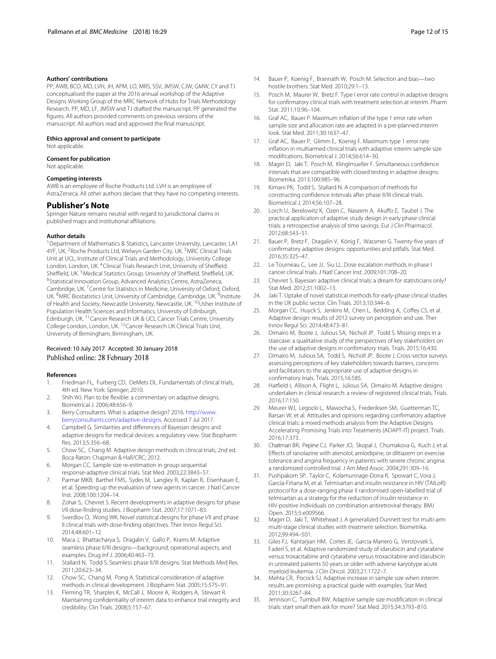#### **Authors' contributions**

PP, AWB, BCO, MD, LVH, JH, APM, LO, MRS, SSV, JMSW, CJW, GMW, CY and TJ conceptualised the paper at the 2016 annual workshop of the Adaptive Designs Working Group of the MRC Network of Hubs for Trials Methodology Research. PP, MD, LF, JMSW and TJ drafted the manuscript. PP generated the figures. All authors provided comments on previous versions of the manuscript. All authors read and approved the final manuscript.

#### **Ethics approval and consent to participate**

Not applicable.

#### **Consent for publication**

Not applicable.

#### **Competing interests**

AWB is an employee of Roche Products Ltd. LVH is an employee of AstraZeneca. All other authors declare that they have no competing interests.

#### **Publisher's Note**

Springer Nature remains neutral with regard to jurisdictional claims in published maps and institutional affiliations.

#### **Author details**

1Department of Mathematics & Statistics, Lancaster University, Lancaster, LA1 4YF, UK. 2Roche Products Ltd, Welwyn Garden City, UK. 3MRC Clinical Trials Unit at UCL, Institute of Clinical Trials and Methodology, University College London, London, UK. 4Clinical Trials Research Unit, University of Sheffield, Sheffield, UK.<sup>5</sup> Medical Statistics Group, University of Sheffield, Sheffield, UK. 6Statistical Innovation Group, Advanced Analytics Centre, AstraZeneca, Cambridge, UK. 7Centre for Statistics in Medicine, University of Oxford, Oxford, UK. <sup>8</sup> MRC Biostatistics Unit, University of Cambridge, Cambridge, UK. <sup>9</sup>Institute of Health and Society, Newcastle University, Newcastle, UK. <sup>10</sup>Usher Institute of Population Health Sciences and Informatics, University of Edinburgh, Edinburgh, UK.<sup>11</sup> Cancer Research UK & UCL Cancer Trials Centre, University College London, London, UK. 12Cancer Research UK Clinical Trials Unit, University of Birmingham, Birmingham, UK.

#### Received: 10 July 2017 Accepted: 30 January 2018 Published online: 28 February 2018

#### **References**

- <span id="page-11-0"></span>1. Friedman FL, Furberg CD, DeMets DL. Fundamentals of clinical trials, 4th ed. New York: Springer; 2010.
- <span id="page-11-1"></span>2. Shih WJ. Plan to be flexible: a commentary on adaptive designs. Biometrical J. 2006;48:656–9.
- <span id="page-11-2"></span>3. Berry Consultants. What is adaptive design? 2016. [http://www.](http://www.berryconsultants.com/adaptive-designs) [berryconsultants.com/adaptive-designs.](http://www.berryconsultants.com/adaptive-designs) Accessed 7 Jul 2017.
- <span id="page-11-3"></span>4. Campbell G. Similarities and differences of Bayesian designs and adaptive designs for medical devices: a regulatory view. Stat Biopharm Res. 2013;5:356–68.
- <span id="page-11-4"></span>5. Chow SC, Chang M. Adaptive design methods in clinical trials, 2nd ed. Boca Raton: Chapman & Hall/CRC; 2012.
- <span id="page-11-5"></span>6. Morgan CC. Sample size re-estimation in group-sequential response-adaptive clinical trials. Stat Med. 2003;22:3843–57.
- <span id="page-11-6"></span>7. Parmar MKB, Barthel FMS, Sydes M, Langley R, Kaplan R, Eisenhauer E, et al. Speeding up the evaluation of new agents in cancer. J Natl Cancer Inst. 2008;100:1204–14.
- <span id="page-11-7"></span>8. Zohar S, Chevret S. Recent developments in adaptive designs for phase I/II dose-finding studies. J Biopharm Stat. 2007;17:1071–83.
- <span id="page-11-8"></span>9. Sverdlov O, Wong WK. Novel statistical designs for phase I/II and phase II clinical trials with dose-finding objectives. Ther Innov Regul Sci. 2014;48:601–12.
- <span id="page-11-9"></span>10. Maca J, Bhattacharya S, Dragalin V, Gallo P, Krams M. Adaptive seamless phase II/III designs—background, operational aspects, and examples. Drug Inf J. 2006;40:463–73.
- <span id="page-11-10"></span>11. Stallard N, Todd S. Seamless phase II/III designs. Stat Methods Med Res. 2011;20:623–34.
- <span id="page-11-11"></span>12. Chow SC, Chang M, Pong A. Statistical consideration of adaptive methods in clinical development. J Biopharm Stat. 2005;15:575–91.
- <span id="page-11-12"></span>13. Fleming TR, Sharples K, McCall J, Moore A, Rodgers A, Stewart R. Maintaining confidentiality of interim data to enhance trial integrity and credibility. Clin Trials. 2008;5:157–67.
- <span id="page-11-13"></span>14. Bauer P, Koenig F, Brannath W, Posch M. Selection and bias—two hostile brothers. Stat Med. 2010;29:1–13.
- <span id="page-11-14"></span>15. Posch M, Maurer W, Bretz F. Type I error rate control in adaptive designs for confirmatory clinical trials with treatment selection at interim. Pharm Stat. 2011;10:96–104.
- <span id="page-11-28"></span>16. Graf AC, Bauer P. Maximum inflation of the type 1 error rate when sample size and allocation rate are adapted in a pre-planned interim look. Stat Med. 2011;30:1637–47.
- <span id="page-11-15"></span>17. Graf AC, Bauer P, Glimm E, Koenig F. Maximum type 1 error rate inflation in multiarmed clinical trials with adaptive interim sample size modifications. Biometrical J. 2014;56:614–30.
- <span id="page-11-16"></span>Magirr D, Jaki T, Posch M, Klinglmueller F. Simultaneous confidence intervals that are compatible with closed testing in adaptive designs. Biometrika. 2013;100:985–96.
- <span id="page-11-17"></span>19. Kimani PK, Todd S, Stallard N. A comparison of methods for constructing confidence intervals after phase II/III clinical trials. Biometrical J. 2014;56:107–28.
- <span id="page-11-18"></span>20. Lorch U, Berelowitz K, Ozen C, Naseem A, Akuffo E, Taubel J. The practical application of adaptive study design in early phase clinical trials: a retrospective analysis of time savings. Eur J Clin Pharmacol. 2012;68:543–51.
- <span id="page-11-20"></span>21. Bauer P, Bretz F, Dragalin V, König F, Wassmer G. Twenty-five years of confirmatory adaptive designs: opportunities and pitfalls. Stat Med. 2016;35:325–47.
- <span id="page-11-21"></span>22. Le Tourneau C, Lee JJ, Siu LL. Dose escalation methods in phase I cancer clinical trials. J Natl Cancer Inst. 2009;101:708–20.
- <span id="page-11-29"></span>23. Chevret S. Bayesian adaptive clinical trials: a dream for statisticians only? Stat Med. 2012;31:1002–13.
- 24. Jaki T. Uptake of novel statistical methods for early-phase clinical studies in the UK public sector. Clin Trials. 2013;10:344–6.
- 25. Morgan CC, Huyck S, Jenkins M, Chen L, Bedding A, Coffey CS, et al. Adaptive design: results of 2012 survey on perception and use. Ther Innov Regul Sci. 2014;48:473–81.
- 26. Dimairo M, Boote J, Julious SA, Nicholl JP, Todd S. Missing steps in a staircase: a qualitative study of the perspectives of key stakeholders on the use of adaptive designs in confirmatory trials. Trials. 2015;16:430.
- <span id="page-11-30"></span>27. Dimairo M, Julious SA, Todd S, Nicholl JP, Boote J. Cross-sector surveys assessing perceptions of key stakeholders towards barriers, concerns and facilitators to the appropriate use of adaptive designs in confirmatory trials. Trials. 2015;16:585.
- <span id="page-11-31"></span>28. Hatfield I, Allison A, Flight L, Julious SA, Dimairo M. Adaptive designs undertaken in clinical research: a review of registered clinical trials. Trials. 2016;17:150.
- <span id="page-11-22"></span>29. Meurer WJ, Legocki L, Mawocha S, Frederiksen SM, Guetterman TC, Barsan W, et al. Attitudes and opinions regarding confirmatory adaptive clinical trials: a mixed methods analysis from the Adaptive Designs Accelerating Promising Trials into Treatments (ADAPT-IT) project. Trials. 2016;17:373.
- <span id="page-11-23"></span>Chaitman BR, Pepine CJ, Parker JO, Skopal J, Chumakova G, Kuch J, et al. Effects of ranolazine with atenolol, amlodipine, or diltiazem on exercise tolerance and angina frequency in patients with severe chronic angina: a randomized controlled trial. J Am Med Assoc. 2004;291:309–16.
- <span id="page-11-19"></span>31. Pushpakom SP, Taylor C, Kolamunnage-Dona R, Spowart C, Vora J, García-Fiñana M, et al. Telmisartan and insulin resistance in HIV (TAILoR): protocol for a dose-ranging phase II randomised open-labelled trial of telmisartan as a strategy for the reduction of insulin resistance in HIV-positive individuals on combination antiretroviral therapy. BMJ Open. 2015;5:e009566.
- <span id="page-11-24"></span>32. Magirr D, Jaki T, Whitehead J. A generalized Dunnett test for multi-arm multi-stage clinical studies with treatment selection. Biometrika. 2012;99:494–501.
- <span id="page-11-25"></span>33. Giles FJ, Kantarjian HM, Cortes JE, Garcia-Manero G, Verstovsek S, Faderl S, et al. Adaptive randomized study of idarubicin and cytarabine versus troxacitabine and cytarabine versus troxacitabine and idarubicin in untreated patients 50 years or older with adverse karyotype acute myeloid leukemia. J Clin Oncol. 2003;21:1722–7.
- <span id="page-11-26"></span>34. Mehta CR, Pocock SJ. Adaptive increase in sample size when interim results are promising: a practical guide with examples. Stat Med. 2011;30:3267–84.
- <span id="page-11-27"></span>35. Jennison C, Turnbull BW. Adaptive sample size modification in clinical trials: start small then ask for more? Stat Med. 2015;34:3793–810.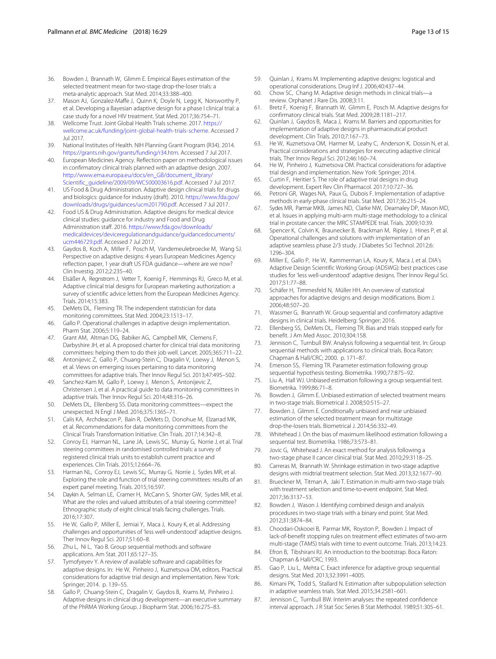- <span id="page-12-1"></span>36. Bowden J, Brannath W, Glimm E. Empirical Bayes estimation of the selected treatment mean for two-stage drop-the-loser trials: a meta-analytic approach. Stat Med. 2014;33:388–400.
- <span id="page-12-2"></span>37. Mason AJ, Gonzalez-Maffe J, Quinn K, Doyle N, Legg K, Norsworthy P, et al. Developing a Bayesian adaptive design for a phase I clinical trial: a case study for a novel HIV treatment. Stat Med. 2017;36:754–71.
- <span id="page-12-3"></span>38. Wellcome Trust. Joint Global Health Trials scheme. 2017. [https://](https://wellcome.ac.uk/funding/joint-global-health-trials-scheme) [wellcome.ac.uk/funding/joint-global-health-trials-scheme.](https://wellcome.ac.uk/funding/joint-global-health-trials-scheme) Accessed 7 Jul 2017.
- <span id="page-12-4"></span>39. National Institutes of Health. NIH Planning Grant Program (R34). 2014. [https://grants.nih.gov/grants/funding/r34.htm.](https://grants.nih.gov/grants/funding/r34.htm) Accessed 7 Jul 2017.
- <span id="page-12-5"></span>40. European Medicines Agency. Reflection paper on methodological issues in confirmatory clinical trials planned with an adaptive design. 2007. [http://www.ema.europa.eu/docs/en\\_GB/document\\_library/](http://www.ema.europa.eu/docs/en_GB/document_library/Scientific_guideline/2009/09/WC500003616.pdf) [Scientific\\_guideline/2009/09/WC500003616.pdf.](http://www.ema.europa.eu/docs/en_GB/document_library/Scientific_guideline/2009/09/WC500003616.pdf) Accessed 7 Jul 2017.
- <span id="page-12-11"></span>41. US Food & Drug Administration. Adaptive design clinical trials for drugs and biologics: guidance for industry (draft). 2010. [https://www.fda.gov/](https://www.fda.gov/downloads/drugs/guidances/ucm201790.pdf) [downloads/drugs/guidances/ucm201790.pdf.](https://www.fda.gov/downloads/drugs/guidances/ucm201790.pdf) Accessed 7 Jul 2017.
- <span id="page-12-6"></span>42. Food US & Drug Administration. Adaptive designs for medical device clinical studies: guidance for industry and Food and Drug Administration staff. 2016. [https://www.fda.gov/downloads/](https://www.fda.gov/downloads/medicaldevices/deviceregulationandguidance/guidancedocuments/ucm446729.pdf) [medicaldevices/deviceregulationandguidance/guidancedocuments/](https://www.fda.gov/downloads/medicaldevices/deviceregulationandguidance/guidancedocuments/ucm446729.pdf) [ucm446729.pdf.](https://www.fda.gov/downloads/medicaldevices/deviceregulationandguidance/guidancedocuments/ucm446729.pdf) Accessed 7 Jul 2017.
- <span id="page-12-7"></span>43. Gaydos B, Koch A, Miller F, Posch M, Vandemeulebroecke M, Wang SJ. Perspective on adaptive designs: 4 years European Medicines Agency reflection paper, 1 year draft US FDA guidance—where are we now? Clin Investig. 2012;2:235–40.
- <span id="page-12-8"></span>44. Elsäßer A, Regnstrom J, Vetter T, Koenig F, Hemmings RJ, Greco M, et al. Adaptive clinical trial designs for European marketing authorization: a survey of scientific advice letters from the European Medicines Agency. Trials. 2014;15:383.
- <span id="page-12-9"></span>45. DeMets DL, Fleming TR. The independent statistician for data monitoring committees. Stat Med. 2004;23:1513–17.
- <span id="page-12-17"></span>46. Gallo P. Operational challenges in adaptive design implementation. Pharm Stat. 2006;5:119–24.
- 47. Grant AM, Altman DG, Babiker AG, Campbell MK, Clemens F, Darbyshire JH, et al. A proposed charter for clinical trial data monitoring committees: helping them to do their job well. Lancet. 2005;365:711–22.
- 48. Antonijevic Z, Gallo P, Chuang-Stein C, Dragalin V, Loewy J, Menon S, et al. Views on emerging issues pertaining to data monitoring committees for adaptive trials. Ther Innov Regul Sci. 2013;47:495–502.
- 49. Sanchez-Kam M, Gallo P, Loewy J, Menon S, Antonijevic Z, Christensen J, et al. A practical guide to data monitoring committees in adaptive trials. Ther Innov Regul Sci. 2014;48:316–26.
- 50. DeMets DL, Ellenberg SS. Data monitoring committees—expect the unexpected. N Engl J Med. 2016;375:1365–71.
- <span id="page-12-10"></span>51. Calis KA, Archdeacon P, Bain R, DeMets D, Donohue M, Elzarrad MK, et al. Recommendations for data monitoring committees from the Clinical Trials Transformation Initiative. Clin Trials. 2017;14:342–8.
- <span id="page-12-12"></span>52. Conroy EJ, Harman NL, Lane JA, Lewis SC, Murray G, Norrie J, et al. Trial steering committees in randomised controlled trials: a survey of registered clinical trials units to establish current practice and experiences. Clin Trials. 2015;12:664–76.
- 53. Harman NL, Conroy EJ, Lewis SC, Murray G, Norrie J, Sydes MR, et al. Exploring the role and function of trial steering committees: results of an expert panel meeting. Trials. 2015;16:597.
- <span id="page-12-13"></span>54. Daykin A, Selman LE, Cramer H, McCann S, Shorter GW, Sydes MR, et al. What are the roles and valued attributes of a trial steering committee? Ethnographic study of eight clinical trials facing challenges. Trials. 2016;17:307.
- <span id="page-12-14"></span>55. He W, Gallo P, Miller E, Jemiai Y, Maca J, Koury K, et al. Addressing challenges and opportunities of 'less well-understood' adaptive designs. Ther Innov Regul Sci. 2017;51:60–8.
- <span id="page-12-15"></span>56. Zhu L, Ni L, Yao B. Group sequential methods and software applications. Am Stat. 2011;65:127–35.
- <span id="page-12-16"></span>57. Tymofyeyev Y. A review of available software and capabilities for adaptive designs. In: He W, Pinheiro J, Kuznetsova OM, editors. Practical considerations for adaptive trial design and implementation. New York: Springer; 2014. p. 139–55.
- <span id="page-12-18"></span>58. Gallo P, Chuang-Stein C, Dragalin V, Gaydos B, Krams M, Pinheiro J. Adaptive designs in clinical drug development—an executive summary of the PhRMA Working Group. J Biopharm Stat. 2006;16:275–83.
- 59. Quinlan J, Krams M. Implementing adaptive designs: logistical and operational considerations. Drug Inf J. 2006;40:437–44.
- 60. Chow SC, Chang M. Adaptive design methods in clinical trials—a review. Orphanet J Rare Dis. 2008;3:11.
- 61. Bretz F, Koenig F, Brannath W, Glimm E, Posch M. Adaptive designs for confirmatory clinical trials. Stat Med. 2009;28:1181–217.
- 62. Quinlan J, Gaydos B, Maca J, Krams M. Barriers and opportunities for implementation of adaptive designs in pharmaceutical product development. Clin Trials. 2010;7:167–73.
- 63. He W, Kuznetsova OM, Harmer M, Leahy C, Anderson K, Dossin N, et al. Practical considerations and strategies for executing adaptive clinical trials. Ther Innov Regul Sci. 2012;46:160–74.
- <span id="page-12-20"></span>64. He W, Pinheiro J, Kuznetsova OM. Practical considerations for adaptive trial design and implementation. New York: Springer; 2014.
- 65. Curtin F, Heritier S. The role of adaptive trial designs in drug development. Expert Rev Clin Pharmacol. 2017;10:727–36.
- <span id="page-12-19"></span>66. Petroni GR, Wages NA, Paux G, Dubois F. Implementation of adaptive methods in early-phase clinical trials. Stat Med. 2017;36:215–24.
- <span id="page-12-0"></span>67. Sydes MR, Parmar MKB, James ND, Clarke NW, Dearnaley DP, Mason MD, et al. Issues in applying multi-arm multi-stage methodology to a clinical trial in prostate cancer: the MRC STAMPEDE trial. Trials. 2009;10:39.
- 68. Spencer K, Colvin K, Braunecker B, Brackman M, Ripley J, Hines P, et al. Operational challenges and solutions with implementation of an adaptive seamless phase 2/3 study. J Diabetes Sci Technol. 2012;6: 1296–304.
- <span id="page-12-21"></span>69. Miller E, Gallo P, He W, Kammerman LA, Koury K, Maca J, et al. DIA's Adaptive Design Scientific Working Group (ADSWG): best practices case studies for 'less well-understood' adaptive designs. Ther Innov Regul Sci. 2017;51:77–88.
- <span id="page-12-22"></span>70. Schäfer H, Timmesfeld N, Müller HH. An overview of statistical approaches for adaptive designs and design modifications. Biom J. 2006;48:507–20.
- <span id="page-12-23"></span>71. Wassmer G, Brannath W. Group sequential and confirmatory adaptive designs in clinical trials. Heidelberg: Springer; 2016.
- <span id="page-12-24"></span>72. Ellenberg SS, DeMets DL, Fleming TR. Bias and trials stopped early for benefit. J Am Med Assoc. 2010;304:158.
- <span id="page-12-25"></span>73. Jennison C, Turnbull BW. Analysis following a sequential test. In: Group sequential methods with applications to clinical trials. Boca Raton: Chapman & Hall/CRC; 2000. p. 171–87.
- <span id="page-12-26"></span>74. Emerson SS, Fleming TR. Parameter estimation following group sequential hypothesis testing. Biometrika. 1990;77:875–92.
- 75. Liu A, Hall WJ. Unbiased estimation following a group sequential test. Biometrika. 1999;86:71–8.
- 76. Bowden J, Glimm E. Unbiased estimation of selected treatment means in two-stage trials. Biometrical J. 2008;50:515–27.
- <span id="page-12-27"></span>77. Bowden J, Glimm E. Conditionally unbiased and near unbiased estimation of the selected treatment mean for multistage drop-the-losers trials. Biometrical J. 2014;56:332–49.
- <span id="page-12-28"></span>78. Whitehead J. On the bias of maximum likelihood estimation following a sequential test. Biometrika. 1986;73:573–81.
- <span id="page-12-29"></span>79. Jovic G, Whitehead J. An exact method for analysis following a two-stage phase II cancer clinical trial. Stat Med. 2010;29:3118–25.
- <span id="page-12-30"></span>80. Carreras M, Brannath W. Shrinkage estimation in two-stage adaptive designs with midtrial treatment selection. Stat Med. 2013;32:1677–90.
- <span id="page-12-31"></span>81. Brueckner M, Titman A, Jaki T. Estimation in multi-arm two-stage trials with treatment selection and time-to-event endpoint. Stat Med. 2017;36:3137–53.
- <span id="page-12-32"></span>82. Bowden J, Wason J. Identifying combined design and analysis procedures in two-stage trials with a binary end point. Stat Med. 2012;31:3874–84.
- <span id="page-12-33"></span>83. Choodari-Oskooei B, Parmar MK, Royston P, Bowden J. Impact of lack-of-benefit stopping rules on treatment effect estimates of two-arm multi-stage (TAMS) trials with time to event outcome. Trials. 2013;14:23.
- <span id="page-12-34"></span>84. Efron B, Tibshirani RJ. An introduction to the bootstrap. Boca Raton: Chapman & Hall/CRC; 1993.
- <span id="page-12-35"></span>85. Gao P, Liu L, Mehta C. Exact inference for adaptive group sequential designs. Stat Med. 2013;32:3991–4005.
- <span id="page-12-36"></span>86. Kimani PK, Todd S, Stallard N. Estimation after subpopulation selection in adaptive seamless trials. Stat Med. 2015;34:2581–601.
- <span id="page-12-37"></span>87. Jennison C, Turnbull BW. Interim analyses: the repeated confidence interval approach. J R Stat Soc Series B Stat Methodol. 1989;51:305–61.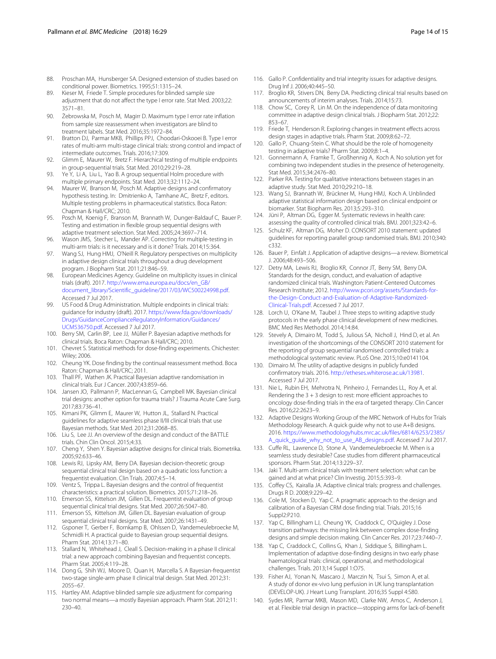- <span id="page-13-6"></span>88. Proschan MA, Hunsberger SA. Designed extension of studies based on conditional power. Biometrics. 1995;51:1315–24.
- <span id="page-13-7"></span>89. Kieser M, Friede T. Simple procedures for blinded sample size adjustment that do not affect the type I error rate. Stat Med. 2003;22: 3571–81.
- <span id="page-13-8"></span>90. Żebrowska M, Posch M, Magirr D. Maximum type I error rate inflation from sample size reassessment when investigators are blind to treatment labels. Stat Med. 2016;35:1972–84.
- <span id="page-13-9"></span>91. Bratton DJ, Parmar MKB, Phillips PPJ, Choodari-Oskooei B. Type I error rates of multi-arm multi-stage clinical trials: strong control and impact of intermediate outcomes. Trials. 2016;17:309.
- <span id="page-13-10"></span>92. Glimm E, Maurer W, Bretz F. Hierarchical testing of multiple endpoints in group-sequential trials. Stat Med. 2010;29:219–28.
- <span id="page-13-11"></span>93. Ye Y, Li A, Liu L, Yao B. A group sequential Holm procedure with multiple primary endpoints. Stat Med. 2013;32:1112–24.
- <span id="page-13-12"></span>94. Maurer W, Branson M, Posch M. Adaptive designs and confirmatory hypothesis testing. In: Dmitrienko A, Tamhane AC, Bretz F, editors. Multiple testing problems in pharmaceutical statistics. Boca Raton: Chapman & Hall/CRC; 2010.
- <span id="page-13-13"></span>95. Posch M, Koenig F, Branson M, Brannath W, Dunger-Baldauf C, Bauer P. Testing and estimation in flexible group sequential designs with adaptive treatment selection. Stat Med. 2005;24:3697–714.
- <span id="page-13-14"></span>96. Wason JMS, Stecher L, Mander AP. Correcting for multiple-testing in multi-arm trials: is it necessary and is it done? Trials. 2014;15:364.
- <span id="page-13-15"></span>97. Wang SJ, Hung HMJ, O'Neill R. Regulatory perspectives on multiplicity in adaptive design clinical trials throughout a drug development program. J Biopharm Stat. 2011;21:846–59.
- 98. European Medicines Agency. Guideline on multiplicity issues in clinical trials (draft). 2017. [http://www.ema.europa.eu/docs/en\\_GB/](http://www.ema.europa.eu/docs/en_GB/document_library/Scientific_guideline/2017/03/WC500224998.pdf) [document\\_library/Scientific\\_guideline/2017/03/WC500224998.pdf.](http://www.ema.europa.eu/docs/en_GB/document_library/Scientific_guideline/2017/03/WC500224998.pdf) Accessed 7 Jul 2017.
- <span id="page-13-16"></span>99. US Food & Drug Administration. Multiple endpoints in clinical trials: guidance for industry (draft). 2017. [https://www.fda.gov/downloads/](https://www.fda.gov/downloads/Drugs/GuidanceComplianceRegulatoryInformation/Guidances/UCM536750.pdf) [Drugs/GuidanceComplianceRegulatoryInformation/Guidances/](https://www.fda.gov/downloads/Drugs/GuidanceComplianceRegulatoryInformation/Guidances/UCM536750.pdf) [UCM536750.pdf.](https://www.fda.gov/downloads/Drugs/GuidanceComplianceRegulatoryInformation/Guidances/UCM536750.pdf) Accessed 7 Jul 2017.
- <span id="page-13-17"></span>100. Berry SM, Carlin BP, Lee JJ, Müller P. Bayesian adaptive methods for clinical trials. Boca Raton: Chapman & Hall/CRC; 2010.
- <span id="page-13-18"></span>101. Chevret S. Statistical methods for dose-finding experiments. Chichester: Wiley; 2006.
- <span id="page-13-19"></span>102. Cheung YK. Dose finding by the continual reassessment method. Boca Raton: Chapman & Hall/CRC; 2011.
- <span id="page-13-20"></span>103. Thall PF, Wathen JK. Practical Bayesian adaptive randomisation in clinical trials. Eur J Cancer. 2007;43:859–66.
- <span id="page-13-21"></span>104. Jansen JO, Pallmann P, MacLennan G, Campbell MK. Bayesian clinical trial designs: another option for trauma trials? J Trauma Acute Care Surg. 2017;83:736–41.
- <span id="page-13-22"></span>105. Kimani PK, Glimm E, Maurer W, Hutton JL, Stallard N. Practical guidelines for adaptive seamless phase II/III clinical trials that use Bayesian methods. Stat Med. 2012;31:2068–85.
- <span id="page-13-23"></span>106. Liu S, Lee JJ. An overview of the design and conduct of the BATTLE trials. Chin Clin Oncol. 2015;4:33.
- <span id="page-13-24"></span>107. Cheng Y, Shen Y. Bayesian adaptive designs for clinical trials. Biometrika. 2005;92:633–46.
- 108. Lewis RJ, Lipsky AM, Berry DA. Bayesian decision-theoretic group sequential clinical trial design based on a quadratic loss function: a frequentist evaluation. Clin Trials. 2007;4:5–14.
- <span id="page-13-25"></span>109. Ventz S, Trippa L. Bayesian designs and the control of frequentist characteristics: a practical solution. Biometrics. 2015;71:218–26.
- <span id="page-13-26"></span>110. Emerson SS, Kittelson JM, Gillen DL. Frequentist evaluation of group sequential clinical trial designs. Stat Med. 2007;26:5047–80.
- 111. Emerson SS, Kittelson JM, Gillen DL. Bayesian evaluation of group sequential clinical trial designs. Stat Med. 2007;26:1431–49.
- <span id="page-13-27"></span>112. Gsponer T, Gerber F, Bornkamp B, Ohlssen D, Vandemeulebroecke M, Schmidli H. A practical guide to Bayesian group sequential designs. Pharm Stat. 2014;13:71–80.
- <span id="page-13-28"></span>113. Stallard N, Whitehead J, Cleall S. Decision-making in a phase II clinical trial: a new approach combining Bayesian and frequentist concepts. Pharm Stat. 2005;4:119–28.
- 114. Dong G, Shih WJ, Moore D, Quan H, Marcella S. A Bayesian-frequentist two-stage single-arm phase II clinical trial design. Stat Med. 2012;31: 2055–67.
- <span id="page-13-29"></span>115. Hartley AM. Adaptive blinded sample size adjustment for comparing two normal means—a mostly Bayesian approach. Pharm Stat. 2012;11: 230–40.
- <span id="page-13-30"></span>116. Gallo P. Confidentiality and trial integrity issues for adaptive designs. Drug Inf J. 2006;40:445–50.
- <span id="page-13-31"></span>117. Broglio KR, Stivers DN, Berry DA. Predicting clinical trial results based on announcements of interim analyses. Trials. 2014;15:73.
- <span id="page-13-32"></span>118. Chow SC, Corey R, Lin M. On the independence of data monitoring committee in adaptive design clinical trials. J Biopharm Stat. 2012;22: 853–67.
- <span id="page-13-33"></span>119. Friede T, Henderson R. Exploring changes in treatment effects across design stages in adaptive trials. Pharm Stat. 2009;8:62–72.
- 120. Gallo P, Chuang-Stein C. What should be the role of homogeneity testing in adaptive trials? Pharm Stat. 2009;8:1–4.
- 121. Gonnermann A, Framke T, Großhennig A, Koch A. No solution yet for combining two independent studies in the presence of heterogeneity. Stat Med. 2015;34:2476–80.
- 122. Parker RA. Testing for qualitative interactions between stages in an adaptive study. Stat Med. 2010;29:210–18.
- <span id="page-13-34"></span>123. Wang SJ, Brannath W, Brückner M, Hung HMJ, Koch A. Unblinded adaptive statistical information design based on clinical endpoint or biomarker. Stat Biopharm Res. 2013;5:293–310.
- <span id="page-13-35"></span>124. Jüni P, Altman DG, Egger M. Systematic reviews in health care: assessing the quality of controlled clinical trials. BMJ. 2001;323:42–6.
- <span id="page-13-36"></span>125. Schulz KF, Altman DG, Moher D. CONSORT 2010 statement: updated guidelines for reporting parallel group randomised trials. BMJ. 2010;340: c332.
- <span id="page-13-37"></span>126. Bauer P, Einfalt J. Application of adaptive designs—a review. Biometrical J. 2006;48:493–506.
- 127. Detry MA, Lewis RJ, Broglio KR, Connor JT, Berry SM, Berry DA. Standards for the design, conduct, and evaluation of adaptive randomized clinical trials. Washington: Patient-Centered Outcomes Research Institute; 2012. [http://www.pcori.org/assets/Standards-for](http://www.pcori.org/assets/Standards-for-the-Design-Conduct-and-Evaluation-of-Adaptive-Randomized-Clinical-Trials.pdf)[the-Design-Conduct-and-Evaluation-of-Adaptive-Randomized-](http://www.pcori.org/assets/Standards-for-the-Design-Conduct-and-Evaluation-of-Adaptive-Randomized-Clinical-Trials.pdf)[Clinical-Trials.pdf.](http://www.pcori.org/assets/Standards-for-the-Design-Conduct-and-Evaluation-of-Adaptive-Randomized-Clinical-Trials.pdf) Accessed 7 Jul 2017.
- <span id="page-13-38"></span>128. Lorch U, O'Kane M, Taubel J. Three steps to writing adaptive study protocols in the early phase clinical development of new medicines. BMC Med Res Methodol. 2014;14:84.
- <span id="page-13-39"></span>129. Stevely A, Dimairo M, Todd S, Julious SA, Nicholl J, Hind D, et al. An investigation of the shortcomings of the CONSORT 2010 statement for the reporting of group sequential randomised controlled trials: a methodological systematic review. PLoS One. 2015;10:e0141104.
- <span id="page-13-40"></span>130. Dimairo M. The utility of adaptive designs in publicly funded confirmatory trials. 2016. [http://etheses.whiterose.ac.uk/13981.](http://etheses.whiterose.ac.uk/13981) Accessed 7 Jul 2017.
- <span id="page-13-41"></span>131. Nie L, Rubin EH, Mehrotra N, Pinheiro J, Fernandes LL, Roy A, et al. Rendering the 3 + 3 design to rest: more efficient approaches to oncology dose-finding trials in the era of targeted therapy. Clin Cancer Res. 2016;22:2623–9.
- <span id="page-13-42"></span>132. Adaptive Designs Working Group of the MRC Network of Hubs for Trials Methodology Research. A quick guide why not to use A+B designs. 2016. [https://www.methodologyhubs.mrc.ac.uk/files/6814/6253/2385/](https://www.methodologyhubs.mrc.ac.uk/files/6814/6253/2385/A_quick_guide_why_not_to_use_AB_designs.pdf) [A\\_quick\\_guide\\_why\\_not\\_to\\_use\\_AB\\_designs.pdf.](https://www.methodologyhubs.mrc.ac.uk/files/6814/6253/2385/A_quick_guide_why_not_to_use_AB_designs.pdf) Accessed 7 Jul 2017.
- <span id="page-13-5"></span>133. Cuffe RL, Lawrence D, Stone A, Vandemeulebroecke M. When is a seamless study desirable? Case studies from different pharmaceutical sponsors. Pharm Stat. 2014;13:229–37.
- <span id="page-13-43"></span>134. Jaki T. Multi-arm clinical trials with treatment selection: what can be gained and at what price? Clin Investig. 2015;5:393–9.
- <span id="page-13-44"></span>135. Coffey CS, Kairalla JA. Adaptive clinical trials: progress and challenges. Drugs R D. 2008;9:229–42.
- <span id="page-13-0"></span>136. Cole M, Stocken D, Yap C. A pragmatic approach to the design and calibration of a Bayesian CRM dose finding trial. Trials. 2015;16 Suppl2:P210.
- <span id="page-13-1"></span>137. Yap C, Billingham LJ, Cheung YK, Craddock C, O'Quigley J. Dose transition pathways: the missing link between complex dose-finding designs and simple decision making. Clin Cancer Res. 2017;23:7440–7.
- <span id="page-13-2"></span>138. Yap C, Craddock C, Collins G, Khan J, Siddique S, Billingham L. Implementation of adaptive dose-finding designs in two early phase haematological trials: clinical, operational, and methodological challenges. Trials. 2013;14 Suppl 1:O75.
- <span id="page-13-3"></span>139. Fisher AJ, Yonan N, Mascaro J, Marczin N, Tsui S, Simon A, et al. A study of donor ex-vivo lung perfusion in UK lung transplantation (DEVELOP-UK). J Heart Lung Transplant. 2016;35 Suppl 4:S80.
- <span id="page-13-4"></span>140. Sydes MR, Parmar MKB, Mason MD, Clarke NW, Amos C, Anderson J, et al. Flexible trial design in practice—stopping arms for lack-of-benefit